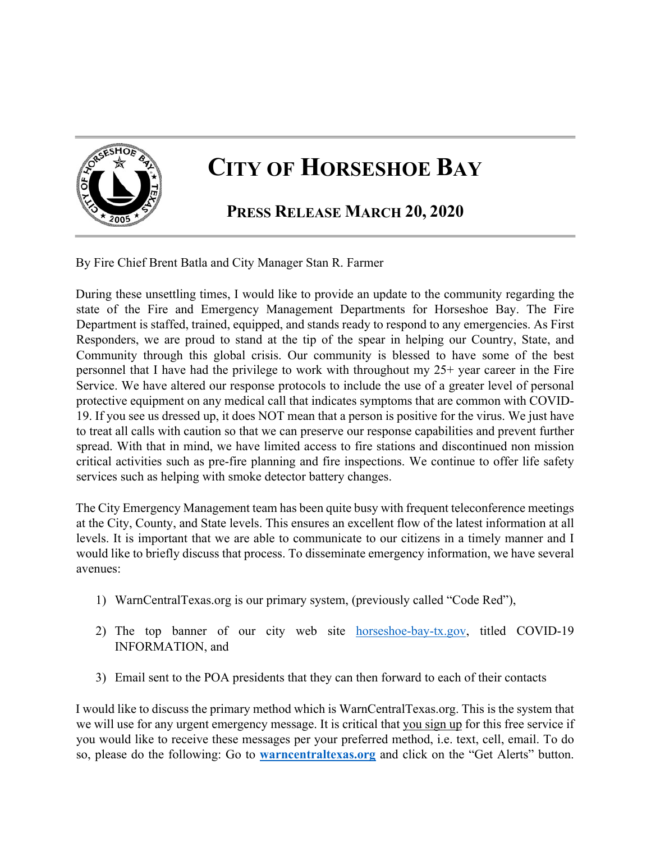

## **CITY OF HORSESHOE BAY**

## **PRESS RELEASE MARCH 20, 2020**

By Fire Chief Brent Batla and City Manager Stan R. Farmer

During these unsettling times, I would like to provide an update to the community regarding the state of the Fire and Emergency Management Departments for Horseshoe Bay. The Fire Department is staffed, trained, equipped, and stands ready to respond to any emergencies. As First Responders, we are proud to stand at the tip of the spear in helping our Country, State, and Community through this global crisis. Our community is blessed to have some of the best personnel that I have had the privilege to work with throughout my 25+ year career in the Fire Service. We have altered our response protocols to include the use of a greater level of personal protective equipment on any medical call that indicates symptoms that are common with COVID-19. If you see us dressed up, it does NOT mean that a person is positive for the virus. We just have to treat all calls with caution so that we can preserve our response capabilities and prevent further spread. With that in mind, we have limited access to fire stations and discontinued non mission critical activities such as pre-fire planning and fire inspections. We continue to offer life safety services such as helping with smoke detector battery changes.

The City Emergency Management team has been quite busy with frequent teleconference meetings at the City, County, and State levels. This ensures an excellent flow of the latest information at all levels. It is important that we are able to communicate to our citizens in a timely manner and I would like to briefly discuss that process. To disseminate emergency information, we have several avenues:

- 1) WarnCentralTexas.org is our primary system, (previously called "Code Red"),
- 2) The top banner of our city web site horseshoe-bay-tx.gov, titled COVID-19 INFORMATION, and
- 3) Email sent to the POA presidents that they can then forward to each of their contacts

I would like to discuss the primary method which is WarnCentralTexas.org. This is the system that we will use for any urgent emergency message. It is critical that you sign up for this free service if you would like to receive these messages per your preferred method, i.e. text, cell, email. To do so, please do the following: Go to **warncentraltexas.org** and click on the "Get Alerts" button.